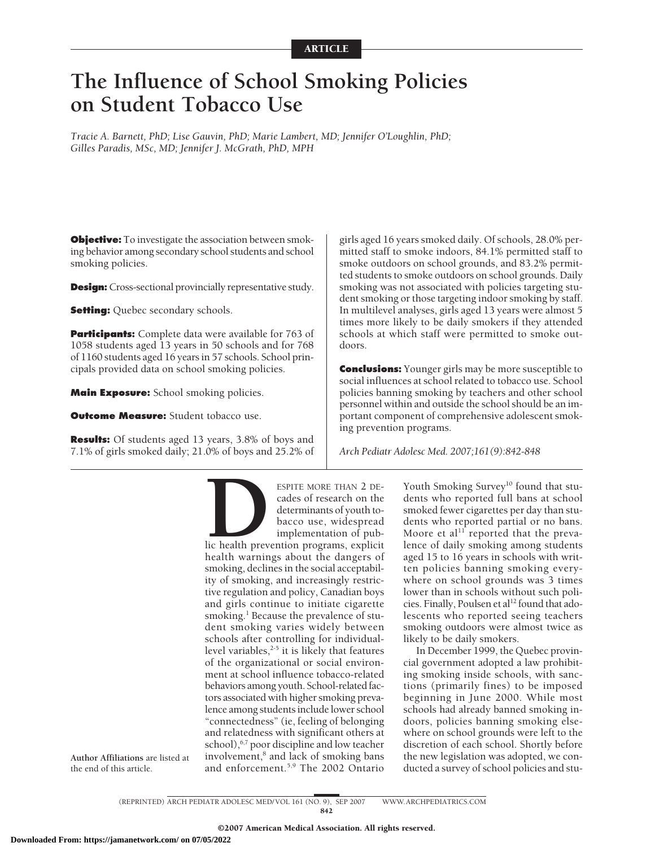# **The Influence of School Smoking Policies on Student Tobacco Use**

*Tracie A. Barnett, PhD; Lise Gauvin, PhD; Marie Lambert, MD; Jennifer O'Loughlin, PhD; Gilles Paradis, MSc, MD; Jennifer J. McGrath, PhD, MPH*

**Objective:** To investigate the association between smoking behavior among secondary school students and school smoking policies.

**Design:** Cross-sectional provincially representative study.

**Setting:** Quebec secondary schools.

**Participants:** Complete data were available for 763 of 1058 students aged 13 years in 50 schools and for 768 of 1160 students aged 16 years in 57 schools. School principals provided data on school smoking policies.

**Main Exposure:** School smoking policies.

**Outcome Measure:** Student tobacco use.

**Results:** Of students aged 13 years, 3.8% of boys and 7.1% of girls smoked daily; 21.0% of boys and 25.2% of

girls aged 16 years smoked daily. Of schools, 28.0% permitted staff to smoke indoors, 84.1% permitted staff to smoke outdoors on school grounds, and 83.2% permitted students to smoke outdoors on school grounds. Daily smoking was not associated with policies targeting student smoking or those targeting indoor smoking by staff. In multilevel analyses, girls aged 13 years were almost 5 times more likely to be daily smokers if they attended schools at which staff were permitted to smoke outdoors.

**Conclusions:** Younger girls may be more susceptible to social influences at school related to tobacco use. School policies banning smoking by teachers and other school personnel within and outside the school should be an important component of comprehensive adolescent smoking prevention programs.

*Arch Pediatr Adolesc Med. 2007;161(9):842-848*

ESPITE MORE THAN 2 DE-<br>
cades of research on the<br>
determinants of youth to-<br>
bacco use, widespread<br>
implementation of pub-<br>
lic health prevention programs, explicit<br>
health warnings about the dangers of cades of research on the determinants of youth tobacco use, widespread implementation of public health prevention programs, explicit health warnings about the dangers of smoking, declines in the social acceptability of smoking, and increasingly restrictive regulation and policy, Canadian boys and girls continue to initiate cigarette smoking.<sup>1</sup> Because the prevalence of student smoking varies widely between schools after controlling for individuallevel variables, $2-5$  it is likely that features of the organizational or social environment at school influence tobacco-related behaviors among youth. School-related factors associated with higher smoking prevalence among students include lower school "connectedness" (ie, feeling of belonging and relatedness with significant others at school),<sup>6,7</sup> poor discipline and low teacher involvement,<sup>8</sup> and lack of smoking bans and enforcement.5,9 The 2002 Ontario

Youth Smoking Survey<sup>10</sup> found that students who reported full bans at school smoked fewer cigarettes per day than students who reported partial or no bans. Moore et al<sup>11</sup> reported that the prevalence of daily smoking among students aged 15 to 16 years in schools with written policies banning smoking everywhere on school grounds was 3 times lower than in schools without such policies. Finally, Poulsen et al<sup>12</sup> found that adolescents who reported seeing teachers smoking outdoors were almost twice as likely to be daily smokers.

In December 1999, the Quebec provincial government adopted a law prohibiting smoking inside schools, with sanctions (primarily fines) to be imposed beginning in June 2000. While most schools had already banned smoking indoors, policies banning smoking elsewhere on school grounds were left to the discretion of each school. Shortly before the new legislation was adopted, we conducted a survey of school policies and stu-

**Author Affiliations** are listed at the end of this article.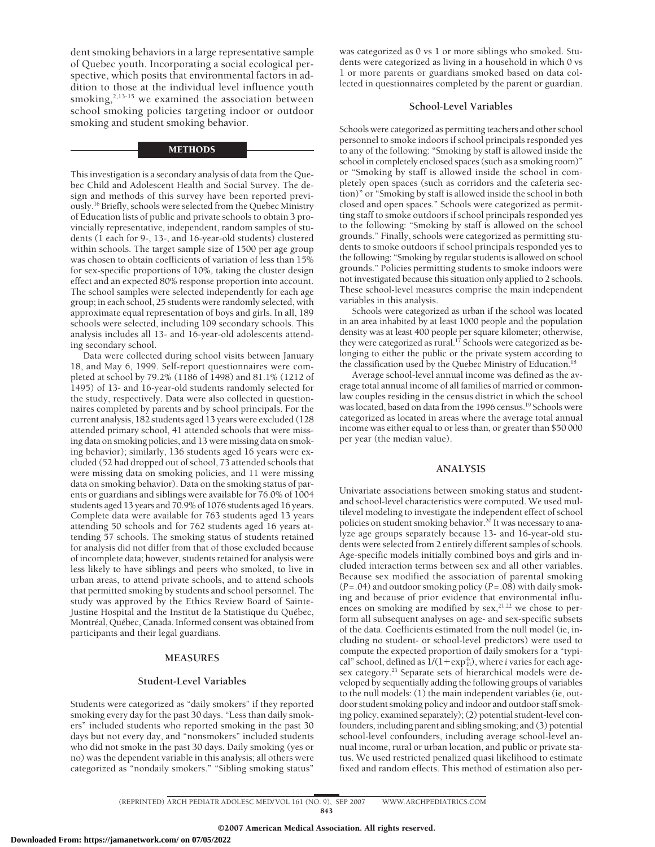dent smoking behaviors in a large representative sample of Quebec youth. Incorporating a social ecological perspective, which posits that environmental factors in addition to those at the individual level influence youth smoking, $2,13-15$  we examined the association between school smoking policies targeting indoor or outdoor smoking and student smoking behavior.

#### METHODS

This investigation is a secondary analysis of data from the Quebec Child and Adolescent Health and Social Survey. The design and methods of this survey have been reported previously.16 Briefly, schools were selected from the Quebec Ministry of Education lists of public and private schools to obtain 3 provincially representative, independent, random samples of students (1 each for 9-, 13-, and 16-year-old students) clustered within schools. The target sample size of 1500 per age group was chosen to obtain coefficients of variation of less than 15% for sex-specific proportions of 10%, taking the cluster design effect and an expected 80% response proportion into account. The school samples were selected independently for each age group; in each school, 25 students were randomly selected, with approximate equal representation of boys and girls. In all, 189 schools were selected, including 109 secondary schools. This analysis includes all 13- and 16-year-old adolescents attending secondary school.

Data were collected during school visits between January 18, and May 6, 1999. Self-report questionnaires were completed at school by 79.2% (1186 of 1498) and 81.1% (1212 of 1495) of 13- and 16-year-old students randomly selected for the study, respectively. Data were also collected in questionnaires completed by parents and by school principals. For the current analysis, 182 students aged 13 years were excluded (128 attended primary school, 41 attended schools that were missing data on smoking policies, and 13 were missing data on smoking behavior); similarly, 136 students aged 16 years were excluded (52 had dropped out of school, 73 attended schools that were missing data on smoking policies, and 11 were missing data on smoking behavior). Data on the smoking status of parents or guardians and siblings were available for 76.0% of 1004 students aged 13 years and 70.9% of 1076 students aged 16 years. Complete data were available for 763 students aged 13 years attending 50 schools and for 762 students aged 16 years attending 57 schools. The smoking status of students retained for analysis did not differ from that of those excluded because of incomplete data; however, students retained for analysis were less likely to have siblings and peers who smoked, to live in urban areas, to attend private schools, and to attend schools that permitted smoking by students and school personnel. The study was approved by the Ethics Review Board of Sainte-Justine Hospital and the Institut de la Statistique du Québec, Montréal, Québec, Canada. Informed consent was obtained from participants and their legal guardians.

#### **MEASURES**

#### **Student-Level Variables**

Students were categorized as "daily smokers" if they reported smoking every day for the past 30 days. "Less than daily smokers" included students who reported smoking in the past 30 days but not every day, and "nonsmokers" included students who did not smoke in the past 30 days. Daily smoking (yes or no) was the dependent variable in this analysis; all others were categorized as "nondaily smokers." "Sibling smoking status"

was categorized as 0 vs 1 or more siblings who smoked. Students were categorized as living in a household in which 0 vs 1 or more parents or guardians smoked based on data collected in questionnaires completed by the parent or guardian.

#### **School-Level Variables**

Schools were categorized as permitting teachers and other school personnel to smoke indoors if school principals responded yes to any of the following: "Smoking by staff is allowed inside the school in completely enclosed spaces (such as a smoking room)" or "Smoking by staff is allowed inside the school in completely open spaces (such as corridors and the cafeteria section)" or "Smoking by staff is allowed inside the school in both closed and open spaces." Schools were categorized as permitting staff to smoke outdoors if school principals responded yes to the following: "Smoking by staff is allowed on the school grounds." Finally, schools were categorized as permitting students to smoke outdoors if school principals responded yes to the following: "Smoking by regular students is allowed on school grounds." Policies permitting students to smoke indoors were not investigated because this situation only applied to 2 schools. These school-level measures comprise the main independent variables in this analysis.

Schools were categorized as urban if the school was located in an area inhabited by at least 1000 people and the population density was at least 400 people per square kilometer; otherwise, they were categorized as rural.<sup>17</sup> Schools were categorized as belonging to either the public or the private system according to the classification used by the Quebec Ministry of Education.<sup>18</sup>

Average school-level annual income was defined as the average total annual income of all families of married or commonlaw couples residing in the census district in which the school was located, based on data from the 1996 census.<sup>19</sup> Schools were categorized as located in areas where the average total annual income was either equal to or less than, or greater than \$50 000 per year (the median value).

### **ANALYSIS**

Univariate associations between smoking status and studentand school-level characteristics were computed. We used multilevel modeling to investigate the independent effect of school policies on student smoking behavior.<sup>20</sup> It was necessary to analyze age groups separately because 13- and 16-year-old students were selected from 2 entirely different samples of schools. Age-specific models initially combined boys and girls and included interaction terms between sex and all other variables. Because sex modified the association of parental smoking (*P*=.04) and outdoor smoking policy (*P*=.08) with daily smoking and because of prior evidence that environmental influences on smoking are modified by  $sex$ ,  $2^{1,22}$  we chose to perform all subsequent analyses on age- and sex-specific subsets of the data. Coefficients estimated from the null model (ie, including no student- or school-level predictors) were used to compute the expected proportion of daily smokers for a "typical" school, defined as  $1/(1 + \exp_{0i}^b)$ , where *i* varies for each agesex category.<sup>23</sup> Separate sets of hierarchical models were developed by sequentially adding the following groups of variables to the null models: (1) the main independent variables (ie, outdoor student smoking policy and indoor and outdoor staff smoking policy, examined separately); (2) potential student-level confounders, including parent and sibling smoking; and (3) potential school-level confounders, including average school-level annual income, rural or urban location, and public or private status. We used restricted penalized quasi likelihood to estimate fixed and random effects. This method of estimation also per-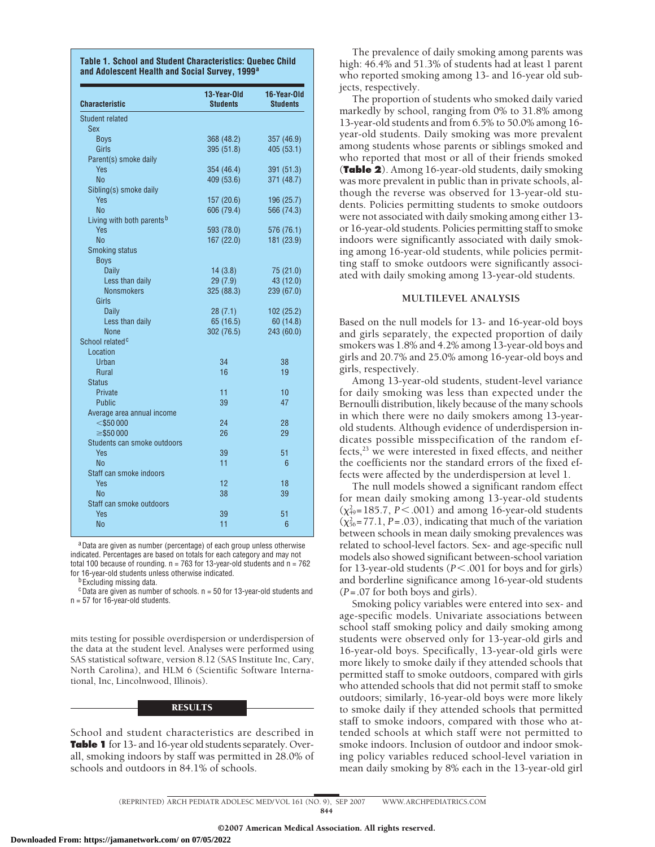| <b>Table 1. School and Student Characteristics: Quebec Child</b> |  |
|------------------------------------------------------------------|--|
| and Adolescent Health and Social Survey, 1999 <sup>a</sup>       |  |

| <b>Characteristic</b>                 | 13-Year-Old<br><b>Students</b> | 16-Year-Old<br><b>Students</b> |
|---------------------------------------|--------------------------------|--------------------------------|
| <b>Student related</b>                |                                |                                |
| <b>Sex</b>                            |                                |                                |
| <b>Boys</b>                           | 368 (48.2)                     | 357 (46.9)                     |
| Girls                                 | 395 (51.8)                     | 405 (53.1)                     |
| Parent(s) smoke daily                 |                                |                                |
| <b>Yes</b>                            | 354 (46.4)                     | 391 (51.3)                     |
| <b>No</b>                             | 409 (53.6)                     | 371 (48.7)                     |
| Sibling(s) smoke daily                |                                |                                |
| <b>Yes</b>                            | 157 (20.6)                     | 196 (25.7)                     |
| N <sub>0</sub>                        | 606 (79.4)                     | 566 (74.3)                     |
| Living with both parents <sup>b</sup> |                                |                                |
| Yes                                   | 593 (78.0)                     | 576 (76.1)                     |
| N <sub>0</sub>                        | 167(22.0)                      | 181 (23.9)                     |
| <b>Smoking status</b>                 |                                |                                |
| <b>Boys</b>                           |                                |                                |
| Daily                                 | 14(3.8)                        | 75 (21.0)                      |
| Less than daily                       | 29(7.9)                        | 43 (12.0)                      |
| <b>Nonsmokers</b>                     | 325 (88.3)                     | 239 (67.0)                     |
| Girls                                 |                                |                                |
| <b>Daily</b>                          | 28(7.1)                        | 102 (25.2)                     |
| Less than daily                       | 65 (16.5)                      | 60 (14.8)                      |
| <b>None</b>                           | 302 (76.5)                     | 243 (60.0)                     |
| School related <sup>c</sup>           |                                |                                |
| Location                              |                                |                                |
| Urban                                 | 34                             | 38                             |
| <b>Rural</b>                          | 16                             | 19                             |
| <b>Status</b>                         |                                |                                |
| Private                               | 11                             | 10                             |
| <b>Public</b>                         | 39                             | 47                             |
| Average area annual income            |                                |                                |
| $<$ \$50 000                          | 24                             | 28                             |
| $\ge$ \$50000                         | 26                             | 29                             |
| Students can smoke outdoors           |                                |                                |
| <b>Yes</b>                            | 39                             | 51                             |
| No                                    | 11                             | 6                              |
| Staff can smoke indoors               |                                |                                |
| <b>Yes</b>                            | 12                             | 18                             |
| N <sub>0</sub>                        | 38                             | 39                             |
| Staff can smoke outdoors              |                                |                                |
| Yes                                   | 39                             | 51                             |
| N <sub>0</sub>                        | 11                             | 6                              |

aData are given as number (percentage) of each group unless otherwise indicated. Percentages are based on totals for each category and may not total 100 because of rounding.  $n = 763$  for 13-year-old students and  $n = 762$ for 16-year-old students unless otherwise indicated. <sup>b</sup> Excluding missing data.

 $c$ Data are given as number of schools.  $n = 50$  for 13-year-old students and n = 57 for 16-year-old students.

mits testing for possible overdispersion or underdispersion of the data at the student level. Analyses were performed using SAS statistical software, version 8.12 (SAS Institute Inc, Cary, North Carolina), and HLM 6 (Scientific Software International, Inc, Lincolnwood, Illinois).

#### **RESULTS**

School and student characteristics are described in **Table 1** for 13- and 16-year old students separately. Overall, smoking indoors by staff was permitted in 28.0% of schools and outdoors in 84.1% of schools.

The prevalence of daily smoking among parents was high: 46.4% and 51.3% of students had at least 1 parent who reported smoking among 13- and 16-year old subjects, respectively.

The proportion of students who smoked daily varied markedly by school, ranging from 0% to 31.8% among 13-year-old students and from 6.5% to 50.0% among 16 year-old students. Daily smoking was more prevalent among students whose parents or siblings smoked and who reported that most or all of their friends smoked (**Table 2**). Among 16-year-old students, daily smoking was more prevalent in public than in private schools, although the reverse was observed for 13-year-old students. Policies permitting students to smoke outdoors were not associated with daily smoking among either 13 or 16-year-old students. Policies permitting staff to smoke indoors were significantly associated with daily smoking among 16-year-old students, while policies permitting staff to smoke outdoors were significantly associated with daily smoking among 13-year-old students.

# **MULTILEVEL ANALYSIS**

Based on the null models for 13- and 16-year-old boys and girls separately, the expected proportion of daily smokers was 1.8% and 4.2% among 13-year-old boys and girls and 20.7% and 25.0% among 16-year-old boys and girls, respectively.

Among 13-year-old students, student-level variance for daily smoking was less than expected under the Bernoulli distribution, likely because of the many schools in which there were no daily smokers among 13-yearold students. Although evidence of underdispersion indicates possible misspecification of the random effects, $^{23}$  we were interested in fixed effects, and neither the coefficients nor the standard errors of the fixed effects were affected by the underdispersion at level 1.

The null models showed a significant random effect for mean daily smoking among 13-year-old students  $(\chi_{49}^2 = 185.7, P < .001)$  and among 16-year-old students  $(\chi_{56}^2$ =77.1, *P* = .03), indicating that much of the variation between schools in mean daily smoking prevalences was related to school-level factors. Sex- and age-specific null models also showed significant between-school variation for 13-year-old students (*P*<.001 for boys and for girls) and borderline significance among 16-year-old students (*P*=.07 for both boys and girls).

Smoking policy variables were entered into sex- and age-specific models. Univariate associations between school staff smoking policy and daily smoking among students were observed only for 13-year-old girls and 16-year-old boys. Specifically, 13-year-old girls were more likely to smoke daily if they attended schools that permitted staff to smoke outdoors, compared with girls who attended schools that did not permit staff to smoke outdoors; similarly, 16-year-old boys were more likely to smoke daily if they attended schools that permitted staff to smoke indoors, compared with those who attended schools at which staff were not permitted to smoke indoors. Inclusion of outdoor and indoor smoking policy variables reduced school-level variation in mean daily smoking by 8% each in the 13-year-old girl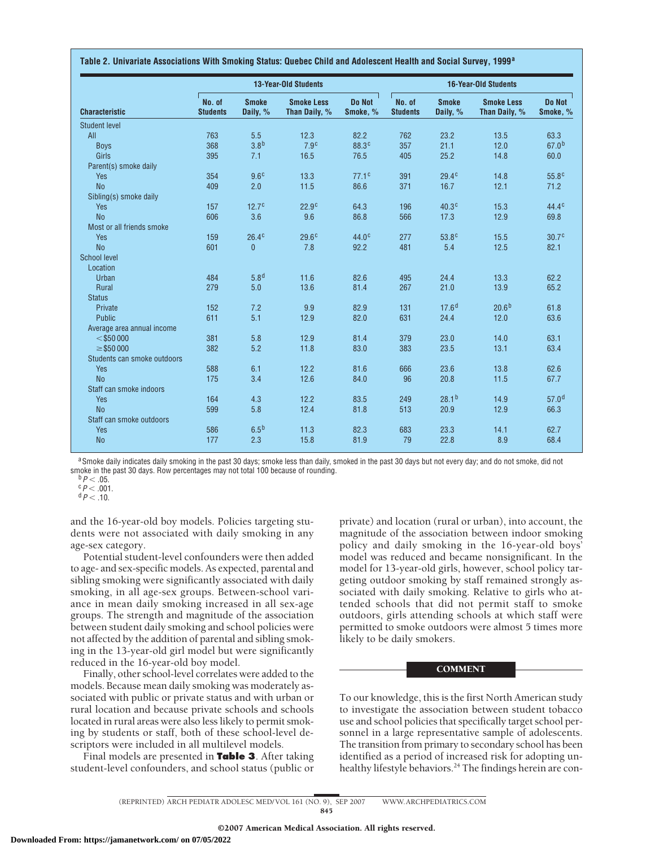| <b>Characteristic</b>       | 13-Year-Old Students      |                          |                                    |                           | <b>16-Year-Old Students</b> |                          |                                    |                           |
|-----------------------------|---------------------------|--------------------------|------------------------------------|---------------------------|-----------------------------|--------------------------|------------------------------------|---------------------------|
|                             | No. of<br><b>Students</b> | <b>Smoke</b><br>Daily, % | <b>Smoke Less</b><br>Than Daily, % | <b>Do Not</b><br>Smoke, % | No. of<br><b>Students</b>   | <b>Smoke</b><br>Daily, % | <b>Smoke Less</b><br>Than Daily, % | <b>Do Not</b><br>Smoke, % |
| <b>Student level</b>        |                           |                          |                                    |                           |                             |                          |                                    |                           |
| All                         | 763                       | 5.5                      | 12.3                               | 82.2                      | 762                         | 23.2                     | 13.5                               | 63.3                      |
| <b>Boys</b>                 | 368                       | 3.8 <sup>b</sup>         | 7.9 <sup>c</sup>                   | 88.3 <sup>c</sup>         | 357                         | 21.1                     | 12.0                               | 67.0 <sup>b</sup>         |
| Girls                       | 395                       | 7.1                      | 16.5                               | 76.5                      | 405                         | 25.2                     | 14.8                               | 60.0                      |
| Parent(s) smoke daily       |                           |                          |                                    |                           |                             |                          |                                    |                           |
| Yes                         | 354                       | 9.6 <sup>c</sup>         | 13.3                               | 77.1 <sup>c</sup>         | 391                         | 29.4 <sup>c</sup>        | 14.8                               | 55.8 <sup>c</sup>         |
| <b>No</b>                   | 409                       | 2.0                      | 11.5                               | 86.6                      | 371                         | 16.7                     | 12.1                               | 71.2                      |
| Sibling(s) smoke daily      |                           |                          |                                    |                           |                             |                          |                                    |                           |
| Yes                         | 157                       | 12.7 <sup>c</sup>        | 22.9 <sup>c</sup>                  | 64.3                      | 196                         | 40.3 <sup>c</sup>        | 15.3                               | 44.4 <sup>c</sup>         |
| <b>No</b>                   | 606                       | 3.6                      | 9.6                                | 86.8                      | 566                         | 17.3                     | 12.9                               | 69.8                      |
| Most or all friends smoke   |                           |                          |                                    |                           |                             |                          |                                    |                           |
| Yes                         | 159                       | 26.4 <sup>c</sup>        | 29.6 <sup>c</sup>                  | 44.0 <sup>c</sup>         | 277                         | 53.8 <sup>c</sup>        | 15.5                               | 30.7 <sup>c</sup>         |
| <b>No</b>                   | 601                       | $\overline{0}$           | 7.8                                | 92.2                      | 481                         | 5.4                      | 12.5                               | 82.1                      |
| <b>School level</b>         |                           |                          |                                    |                           |                             |                          |                                    |                           |
| Location                    |                           |                          |                                    |                           |                             |                          |                                    |                           |
| <b>Urban</b>                | 484                       | 5.8 <sup>d</sup>         | 11.6                               | 82.6                      | 495                         | 24.4                     | 13.3                               | 62.2                      |
| Rural                       | 279                       | 5.0                      | 13.6                               | 81.4                      | 267                         | 21.0                     | 13.9                               | 65.2                      |
| <b>Status</b>               |                           |                          |                                    |                           |                             |                          |                                    |                           |
| Private                     | 152                       | 7.2                      | 9.9                                | 82.9                      | 131                         | 17.6 <sup>d</sup>        | 20.6 <sup>b</sup>                  | 61.8                      |
| <b>Public</b>               | 611                       | 5.1                      | 12.9                               | 82.0                      | 631                         | 24.4                     | 12.0                               | 63.6                      |
| Average area annual income  |                           |                          |                                    |                           |                             |                          |                                    |                           |
| $<$ \$50 000                | 381                       | 5.8                      | 12.9                               | 81.4                      | 379                         | 23.0                     | 14.0                               | 63.1                      |
| $\ge$ \$50 000              | 382                       | 5.2                      | 11.8                               | 83.0                      | 383                         | 23.5                     | 13.1                               | 63.4                      |
| Students can smoke outdoors |                           |                          |                                    |                           |                             |                          |                                    |                           |
| Yes                         | 588                       | 6.1                      | 12.2                               | 81.6                      | 666                         | 23.6                     | 13.8                               | 62.6                      |
| <b>No</b>                   | 175                       | 3.4                      | 12.6                               | 84.0                      | 96                          | 20.8                     | 11.5                               | 67.7                      |
| Staff can smoke indoors     |                           |                          |                                    |                           |                             |                          |                                    |                           |
| Yes                         | 164                       | 4.3                      | $12.2$                             | 83.5                      | 249                         | 28.1 <sup>b</sup>        | 14.9                               | 57.0 <sup>d</sup>         |
| <b>No</b>                   | 599                       | 5.8                      | 12.4                               | 81.8                      | 513                         | 20.9                     | 12.9                               | 66.3                      |
| Staff can smoke outdoors    |                           |                          |                                    |                           |                             |                          |                                    |                           |
| Yes                         | 586                       | 6.5 <sup>b</sup>         | 11.3                               | 82.3                      | 683                         | 23.3                     | 14.1                               | 62.7                      |
| <b>No</b>                   | 177                       | 2.3                      | 15.8                               | 81.9                      | 79                          | 22.8                     | 8.9                                | 68.4                      |

a Smoke daily indicates daily smoking in the past 30 days; smoke less than daily, smoked in the past 30 days but not every day; and do not smoke, did not smoke in the past 30 days. Row percentages may not total 100 because of rounding.<br><sup>b</sup> $P < .05$ .<br><sup>c</sup> $P < .001$ .

 $dP < 0.10$ .

and the 16-year-old boy models. Policies targeting students were not associated with daily smoking in any age-sex category.

Potential student-level confounders were then added to age- and sex-specific models. As expected, parental and sibling smoking were significantly associated with daily smoking, in all age-sex groups. Between-school variance in mean daily smoking increased in all sex-age groups. The strength and magnitude of the association between student daily smoking and school policies were not affected by the addition of parental and sibling smoking in the 13-year-old girl model but were significantly reduced in the 16-year-old boy model.

Finally, other school-level correlates were added to the models. Because mean daily smoking was moderately associated with public or private status and with urban or rural location and because private schools and schools located in rural areas were also less likely to permit smoking by students or staff, both of these school-level descriptors were included in all multilevel models.

Final models are presented in **Table 3**. After taking student-level confounders, and school status (public or private) and location (rural or urban), into account, the magnitude of the association between indoor smoking policy and daily smoking in the 16-year-old boys' model was reduced and became nonsignificant. In the model for 13-year-old girls, however, school policy targeting outdoor smoking by staff remained strongly associated with daily smoking. Relative to girls who attended schools that did not permit staff to smoke outdoors, girls attending schools at which staff were permitted to smoke outdoors were almost 5 times more likely to be daily smokers.

# **COMMENT**

To our knowledge, this is the first North American study to investigate the association between student tobacco use and school policies that specifically target school personnel in a large representative sample of adolescents. The transition from primary to secondary school has been identified as a period of increased risk for adopting unhealthy lifestyle behaviors.<sup>24</sup> The findings herein are con-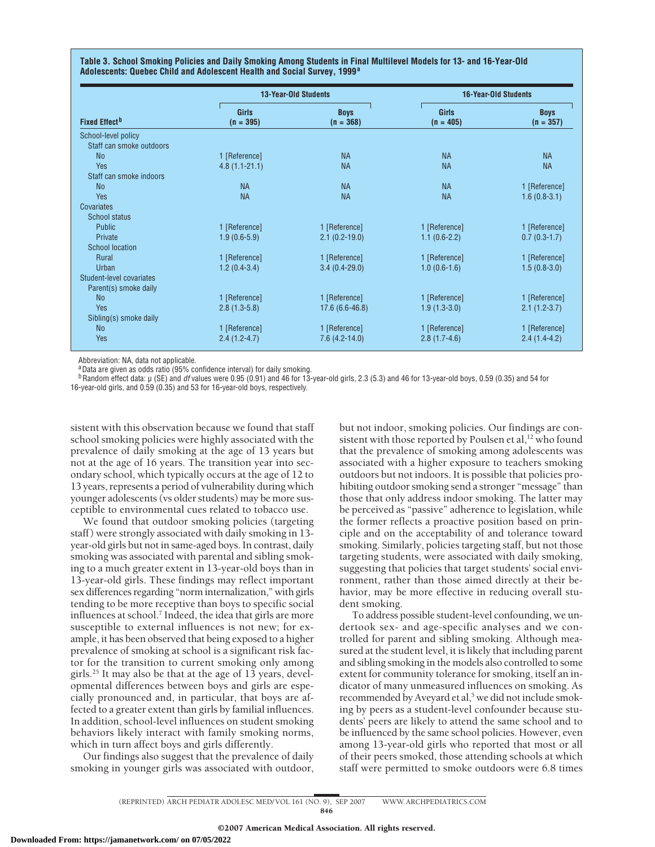**Table 3. School Smoking Policies and Daily Smoking Among Students in Final Multilevel Models for 13- and 16-Year-Old Adolescents: Quebec Child and Adolescent Health and Social Survey, 1999<sup>a</sup>**

| <b>Fixed Effect<sup>b</sup></b> |                      | 13-Year-Old Students       | <b>16-Year-Old Students</b> |                            |  |
|---------------------------------|----------------------|----------------------------|-----------------------------|----------------------------|--|
|                                 | Girls<br>$(n = 395)$ | <b>Boys</b><br>$(n = 368)$ | Girls<br>$(n = 405)$        | <b>Boys</b><br>$(n = 357)$ |  |
| School-level policy             |                      |                            |                             |                            |  |
| Staff can smoke outdoors        |                      |                            |                             |                            |  |
| <b>No</b>                       | 1 [Reference]        | <b>NA</b>                  | <b>NA</b>                   | <b>NA</b>                  |  |
| <b>Yes</b>                      | $4.8(1.1-21.1)$      | <b>NA</b>                  | <b>NA</b>                   | <b>NA</b>                  |  |
| Staff can smoke indoors         |                      |                            |                             |                            |  |
| <b>No</b>                       | <b>NA</b>            | <b>NA</b>                  | <b>NA</b>                   | 1 [Reference]              |  |
| <b>Yes</b>                      | <b>NA</b>            | <b>NA</b>                  | <b>NA</b>                   | $1.6(0.8-3.1)$             |  |
| Covariates                      |                      |                            |                             |                            |  |
| <b>School status</b>            |                      |                            |                             |                            |  |
| <b>Public</b>                   | 1 [Reference]        | 1 [Reference]              | 1 [Reference]               | 1 [Reference]              |  |
| Private                         | $1.9(0.6-5.9)$       | $2.1(0.2-19.0)$            | $1.1(0.6-2.2)$              | $0.7(0.3-1.7)$             |  |
| <b>School location</b>          |                      |                            |                             |                            |  |
| <b>Rural</b>                    | 1 [Reference]        | 1 [Reference]              | 1 [Reference]               | 1 [Reference]              |  |
| Urban                           | $1.2(0.4-3.4)$       | $3.4(0.4-29.0)$            | $1.0(0.6-1.6)$              | $1.5(0.8-3.0)$             |  |
| Student-level covariates        |                      |                            |                             |                            |  |
| Parent(s) smoke daily           |                      |                            |                             |                            |  |
| <b>No</b>                       | 1 [Reference]        | 1 [Reference]              | 1 [Reference]               | 1 [Reference]              |  |
| Yes                             | $2.8(1.3-5.8)$       | 17.6 (6.6-46.8)            | $1.9(1.3-3.0)$              | $2.1(1.2-3.7)$             |  |
| Sibling(s) smoke daily          |                      |                            |                             |                            |  |
| <b>No</b>                       | 1 [Reference]        | 1 [Reference]              | 1 [Reference]               | 1 [Reference]              |  |
| <b>Yes</b>                      | $2.4(1.2-4.7)$       | $7.6(4.2-14.0)$            | $2.8(1.7-4.6)$              | $2.4(1.4-4.2)$             |  |

Abbreviation: NA, data not applicable.

aData are given as odds ratio (95% confidence interval) for daily smoking.

<sup>b</sup> Random effect data: μ (SE) and *df* values were 0.95 (0.91) and 46 for 13-year-old girls, 2.3 (5.3) and 46 for 13-year-old boys, 0.59 (0.35) and 54 for 16-year-old girls, and 0.59 (0.35) and 53 for 16-year-old boys, respectively.

sistent with this observation because we found that staff school smoking policies were highly associated with the prevalence of daily smoking at the age of 13 years but not at the age of 16 years. The transition year into secondary school, which typically occurs at the age of 12 to 13 years, represents a period of vulnerability during which younger adolescents (vs older students) may be more susceptible to environmental cues related to tobacco use.

We found that outdoor smoking policies (targeting staff) were strongly associated with daily smoking in 13 year-old girls but not in same-aged boys. In contrast, daily smoking was associated with parental and sibling smoking to a much greater extent in 13-year-old boys than in 13-year-old girls. These findings may reflect important sex differences regarding "norm internalization," with girls tending to be more receptive than boys to specific social influences at school.<sup>7</sup> Indeed, the idea that girls are more susceptible to external influences is not new; for example, it has been observed that being exposed to a higher prevalence of smoking at school is a significant risk factor for the transition to current smoking only among girls.25 It may also be that at the age of 13 years, developmental differences between boys and girls are especially pronounced and, in particular, that boys are affected to a greater extent than girls by familial influences. In addition, school-level influences on student smoking behaviors likely interact with family smoking norms, which in turn affect boys and girls differently.

Our findings also suggest that the prevalence of daily smoking in younger girls was associated with outdoor, but not indoor, smoking policies. Our findings are consistent with those reported by Poulsen et al, $12$  who found that the prevalence of smoking among adolescents was associated with a higher exposure to teachers smoking outdoors but not indoors. It is possible that policies prohibiting outdoor smoking send a stronger "message" than those that only address indoor smoking. The latter may be perceived as "passive" adherence to legislation, while the former reflects a proactive position based on principle and on the acceptability of and tolerance toward smoking. Similarly, policies targeting staff, but not those targeting students, were associated with daily smoking, suggesting that policies that target students' social environment, rather than those aimed directly at their behavior, may be more effective in reducing overall student smoking.

To address possible student-level confounding, we undertook sex- and age-specific analyses and we controlled for parent and sibling smoking. Although measured at the student level, it is likely that including parent and sibling smoking in the models also controlled to some extent for community tolerance for smoking, itself an indicator of many unmeasured influences on smoking. As recommended by Aveyard et al,<sup>5</sup> we did not include smoking by peers as a student-level confounder because students' peers are likely to attend the same school and to be influenced by the same school policies. However, even among 13-year-old girls who reported that most or all of their peers smoked, those attending schools at which staff were permitted to smoke outdoors were 6.8 times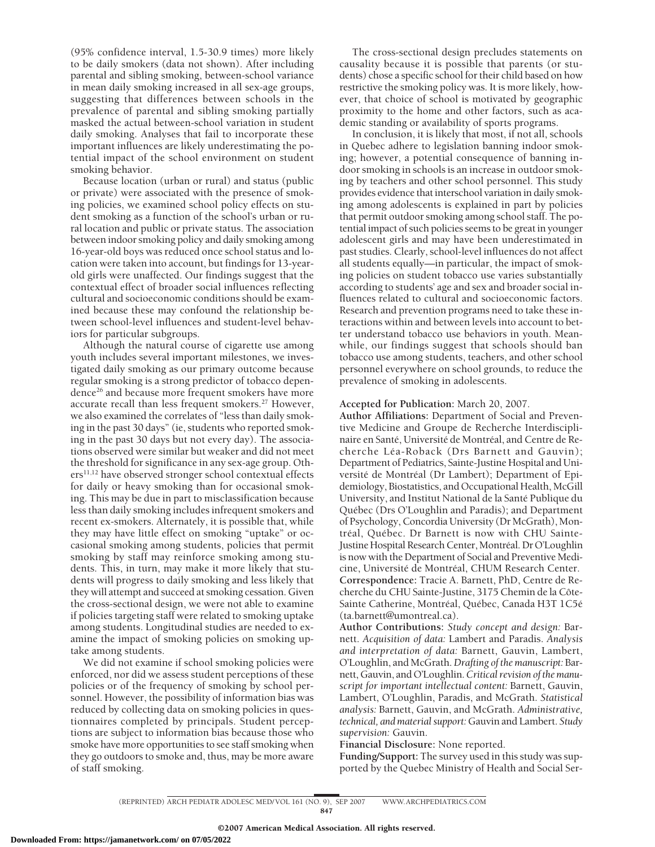(95% confidence interval, 1.5-30.9 times) more likely to be daily smokers (data not shown). After including parental and sibling smoking, between-school variance in mean daily smoking increased in all sex-age groups, suggesting that differences between schools in the prevalence of parental and sibling smoking partially masked the actual between-school variation in student daily smoking. Analyses that fail to incorporate these important influences are likely underestimating the potential impact of the school environment on student smoking behavior.

Because location (urban or rural) and status (public or private) were associated with the presence of smoking policies, we examined school policy effects on student smoking as a function of the school's urban or rural location and public or private status. The association between indoor smoking policy and daily smoking among 16-year-old boys was reduced once school status and location were taken into account, but findings for 13-yearold girls were unaffected. Our findings suggest that the contextual effect of broader social influences reflecting cultural and socioeconomic conditions should be examined because these may confound the relationship between school-level influences and student-level behaviors for particular subgroups.

Although the natural course of cigarette use among youth includes several important milestones, we investigated daily smoking as our primary outcome because regular smoking is a strong predictor of tobacco dependence26 and because more frequent smokers have more accurate recall than less frequent smokers.<sup>27</sup> However, we also examined the correlates of "less than daily smoking in the past 30 days" (ie, students who reported smoking in the past 30 days but not every day). The associations observed were similar but weaker and did not meet the threshold for significance in any sex-age group. Others<sup>11,12</sup> have observed stronger school contextual effects for daily or heavy smoking than for occasional smoking. This may be due in part to misclassification because less than daily smoking includes infrequent smokers and recent ex-smokers. Alternately, it is possible that, while they may have little effect on smoking "uptake" or occasional smoking among students, policies that permit smoking by staff may reinforce smoking among students. This, in turn, may make it more likely that students will progress to daily smoking and less likely that they will attempt and succeed at smoking cessation. Given the cross-sectional design, we were not able to examine if policies targeting staff were related to smoking uptake among students. Longitudinal studies are needed to examine the impact of smoking policies on smoking uptake among students.

We did not examine if school smoking policies were enforced, nor did we assess student perceptions of these policies or of the frequency of smoking by school personnel. However, the possibility of information bias was reduced by collecting data on smoking policies in questionnaires completed by principals. Student perceptions are subject to information bias because those who smoke have more opportunities to see staff smoking when they go outdoors to smoke and, thus, may be more aware of staff smoking.

The cross-sectional design precludes statements on causality because it is possible that parents (or students) chose a specific school for their child based on how restrictive the smoking policy was. It is more likely, however, that choice of school is motivated by geographic proximity to the home and other factors, such as academic standing or availability of sports programs.

In conclusion, it is likely that most, if not all, schools in Quebec adhere to legislation banning indoor smoking; however, a potential consequence of banning indoor smoking in schools is an increase in outdoor smoking by teachers and other school personnel. This study provides evidence that interschool variation in daily smoking among adolescents is explained in part by policies that permit outdoor smoking among school staff. The potential impact of such policies seems to be great in younger adolescent girls and may have been underestimated in past studies. Clearly, school-level influences do not affect all students equally—in particular, the impact of smoking policies on student tobacco use varies substantially according to students' age and sex and broader social influences related to cultural and socioeconomic factors. Research and prevention programs need to take these interactions within and between levels into account to better understand tobacco use behaviors in youth. Meanwhile, our findings suggest that schools should ban tobacco use among students, teachers, and other school personnel everywhere on school grounds, to reduce the prevalence of smoking in adolescents.

# **Accepted for Publication:** March 20, 2007.

**Author Affiliations:** Department of Social and Preventive Medicine and Groupe de Recherche Interdisciplinaire en Santé, Université de Montréal, and Centre de Recherche Léa-Roback (Drs Barnett and Gauvin); Department of Pediatrics, Sainte-Justine Hospital and Université de Montréal (Dr Lambert); Department of Epidemiology, Biostatistics, and Occupational Health, McGill University, and Institut National de la Sante´ Publique du Québec (Drs O'Loughlin and Paradis); and Department of Psychology, Concordia University (Dr McGrath), Montréal, Québec. Dr Barnett is now with CHU Sainte-Justine Hospital Research Center, Montréal. Dr O'Loughlin is now with the Department of Social and Preventive Medicine, Université de Montréal, CHUM Research Center. **Correspondence:** Tracie A. Barnett, PhD, Centre de Recherche du CHU Sainte-Justine, 3175 Chemin de la Côte-Sainte Catherine, Montréal, Québec, Canada H3T 1C5é (ta.barnett@umontreal.ca).

**Author Contributions:** *Study concept and design:* Barnett. *Acquisition of data:* Lambert and Paradis. *Analysis and interpretation of data:* Barnett, Gauvin, Lambert, O'Loughlin, and McGrath.*Drafting of the manuscript:* Barnett, Gauvin, and O'Loughlin.*Critical revision of the manuscript for important intellectual content:* Barnett, Gauvin, Lambert, O'Loughlin, Paradis, and McGrath. *Statistical analysis:* Barnett, Gauvin, and McGrath. *Administrative, technical, and material support:* Gauvin and Lambert. *Study supervision:* Gauvin.

**Financial Disclosure:** None reported.

**Funding/Support:** The survey used in this study was supported by the Quebec Ministry of Health and Social Ser